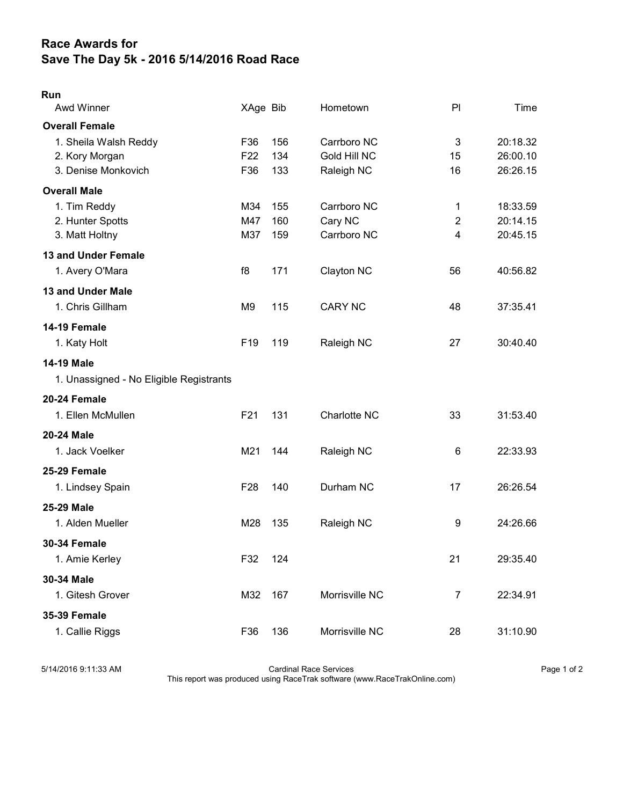## Race Awards for Save The Day 5k - 2016 5/14/2016 Road Race

| Run                                     |                 |     |                |                |          |
|-----------------------------------------|-----------------|-----|----------------|----------------|----------|
| <b>Awd Winner</b>                       | XAge Bib        |     | Hometown       | P              | Time     |
| <b>Overall Female</b>                   |                 |     |                |                |          |
| 1. Sheila Walsh Reddy                   | F36             | 156 | Carrboro NC    | 3              | 20:18.32 |
| 2. Kory Morgan                          | F <sub>22</sub> | 134 | Gold Hill NC   | 15             | 26:00.10 |
| 3. Denise Monkovich                     | F36             | 133 | Raleigh NC     | 16             | 26:26.15 |
| <b>Overall Male</b>                     |                 |     |                |                |          |
| 1. Tim Reddy                            | M34             | 155 | Carrboro NC    | 1              | 18:33.59 |
| 2. Hunter Spotts                        | M47             | 160 | Cary NC        | $\overline{2}$ | 20:14.15 |
| 3. Matt Holtny                          | M37             | 159 | Carrboro NC    | 4              | 20:45.15 |
| <b>13 and Under Female</b>              |                 |     |                |                |          |
| 1. Avery O'Mara                         | f8              | 171 | Clayton NC     | 56             | 40:56.82 |
| 13 and Under Male                       |                 |     |                |                |          |
| 1. Chris Gillham                        | M <sub>9</sub>  | 115 | <b>CARY NC</b> | 48             | 37:35.41 |
| 14-19 Female                            |                 |     |                |                |          |
| 1. Katy Holt                            | F <sub>19</sub> | 119 | Raleigh NC     | 27             | 30:40.40 |
| <b>14-19 Male</b>                       |                 |     |                |                |          |
| 1. Unassigned - No Eligible Registrants |                 |     |                |                |          |
| 20-24 Female                            |                 |     |                |                |          |
| 1. Ellen McMullen                       | F <sub>21</sub> | 131 | Charlotte NC   | 33             | 31:53.40 |
| 20-24 Male                              |                 |     |                |                |          |
| 1. Jack Voelker                         | M21             | 144 | Raleigh NC     | 6              | 22:33.93 |
| 25-29 Female                            |                 |     |                |                |          |
| 1. Lindsey Spain                        | F <sub>28</sub> | 140 | Durham NC      | 17             | 26:26.54 |
| 25-29 Male                              |                 |     |                |                |          |
| 1. Alden Mueller                        | M28             | 135 | Raleigh NC     | 9              | 24:26.66 |
| <b>30-34 Female</b>                     |                 |     |                |                |          |
| 1. Amie Kerley                          | F32             | 124 |                | 21             | 29:35.40 |
| 30-34 Male                              |                 |     |                |                |          |
| 1. Gitesh Grover                        | M32             | 167 | Morrisville NC | $\overline{7}$ | 22:34.91 |
| <b>35-39 Female</b>                     |                 |     |                |                |          |
| 1. Callie Riggs                         | F36             | 136 | Morrisville NC | 28             | 31:10.90 |
|                                         |                 |     |                |                |          |

5/14/2016 9:11:33 AM Cardinal Race Services Page 1 of 2 This report was produced using RaceTrak software (www.RaceTrakOnline.com)